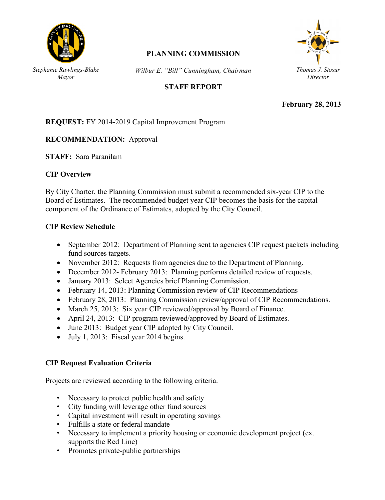

# **PLANNING COMMISSION**

*Wilbur E. "Bill" Cunningham, Chairman*

## **STAFF REPORT**



**February 28, 2013**

### **REQUEST:** FY 2014-2019 Capital Improvement Program

#### **RECOMMENDATION:** Approval *Mayor*

**STAFF:** Sara Paranilam

### **CIP Overview**

By City Charter, the Planning Commission must submit a recommended six-year CIP to the Board of Estimates. The recommended budget year CIP becomes the basis for the capital component of the Ordinance of Estimates, adopted by the City Council.

### **CIP Review Schedule**

- September 2012: Department of Planning sent to agencies CIP request packets including fund sources targets.
- November 2012: Requests from agencies due to the Department of Planning.
- December 2012- February 2013: Planning performs detailed review of requests.
- January 2013: Select Agencies brief Planning Commission.
- February 14, 2013: Planning Commission review of CIP Recommendations
- February 28, 2013: Planning Commission review/approval of CIP Recommendations.
- March 25, 2013: Six year CIP reviewed/approval by Board of Finance.
- April 24, 2013: CIP program reviewed/approved by Board of Estimates.
- June 2013: Budget year CIP adopted by City Council.
- $\bullet$  July 1, 2013: Fiscal year 2014 begins.

### **CIP Request Evaluation Criteria**

Projects are reviewed according to the following criteria.

- Necessary to protect public health and safety
- City funding will leverage other fund sources
- Capital investment will result in operating savings
- Fulfills a state or federal mandate
- Necessary to implement a priority housing or economic development project (ex. supports the Red Line)
- Promotes private-public partnerships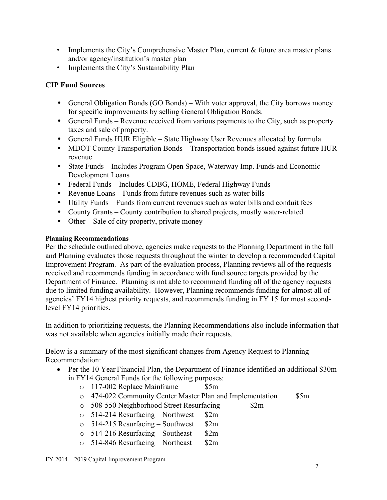- Implements the City's Comprehensive Master Plan, current & future area master plans and/or agency/institution's master plan
- Implements the City's Sustainability Plan

# **CIP Fund Sources**

- General Obligation Bonds (GO Bonds) With voter approval, the City borrows money for specific improvements by selling General Obligation Bonds.
- General Funds Revenue received from various payments to the City, such as property taxes and sale of property.
- General Funds HUR Eligible State Highway User Revenues allocated by formula.
- MDOT County Transportation Bonds Transportation bonds issued against future HUR revenue
- State Funds Includes Program Open Space, Waterway Imp. Funds and Economic Development Loans
- Federal Funds Includes CDBG, HOME, Federal Highway Funds
- Revenue Loans Funds from future revenues such as water bills
- Utility Funds Funds from current revenues such as water bills and conduit fees
- County Grants County contribution to shared projects, mostly water-related
- Other Sale of city property, private money

## **Planning Recommendations**

Per the schedule outlined above, agencies make requests to the Planning Department in the fall and Planning evaluates those requests throughout the winter to develop a recommended Capital Improvement Program. As part of the evaluation process, Planning reviews all of the requests received and recommends funding in accordance with fund source targets provided by the Department of Finance. Planning is not able to recommend funding all of the agency requests due to limited funding availability. However, Planning recommends funding for almost all of agencies' FY14 highest priority requests, and recommends funding in FY 15 for most secondlevel FY14 priorities.

In addition to prioritizing requests, the Planning Recommendations also include information that was not available when agencies initially made their requests.

Below is a summary of the most significant changes from Agency Request to Planning Recommendation:

- Per the 10 Year Financial Plan, the Department of Finance identified an additional \$30m in FY14 General Funds for the following purposes:
	- o 117-002 Replace Mainframe \$5m
	- o 474-022 Community Center Master Plan and Implementation \$5m
	- o 508-550 Neighborhood Street Resurfacing \$2m
	- $\degree$  514-214 Resurfacing Northwest \$2m
	- $\circ$  514-215 Resurfacing Southwest \$2m
	- $\degree$  514-216 Resurfacing Southeast \$2m
	- $\degree$  514-846 Resurfacing Northeast  $\$2m$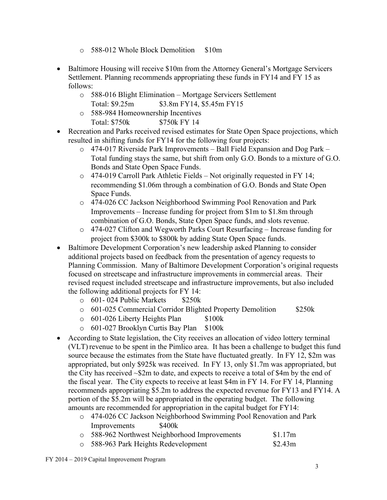- o 588-012 Whole Block Demolition \$10m
- Baltimore Housing will receive \$10m from the Attorney General's Mortgage Servicers Settlement. Planning recommends appropriating these funds in FY14 and FY 15 as follows:
	- o 588-016 Blight Elimination Mortgage Servicers Settlement Total: \$9.25m \$3.8m FY14, \$5.45m FY15
	- o 588-984 Homeownership Incentives Total: \$750k \$750k FY 14
- Recreation and Parks received revised estimates for State Open Space projections, which resulted in shifting funds for FY14 for the following four projects:
	- o 474-017 Riverside Park Improvements Ball Field Expansion and Dog Park Total funding stays the same, but shift from only G.O. Bonds to a mixture of G.O. Bonds and State Open Space Funds.
	- o 474-019 Carroll Park Athletic Fields Not originally requested in FY 14; recommending \$1.06m through a combination of G.O. Bonds and State Open Space Funds.
	- o 474-026 CC Jackson Neighborhood Swimming Pool Renovation and Park Improvements – Increase funding for project from \$1m to \$1.8m through combination of G.O. Bonds, State Open Space funds, and slots revenue.
	- o 474-027 Clifton and Wegworth Parks Court Resurfacing Increase funding for project from \$300k to \$800k by adding State Open Space funds.
- Baltimore Development Corporation's new leadership asked Planning to consider additional projects based on feedback from the presentation of agency requests to Planning Commission. Many of Baltimore Development Corporation's original requests focused on streetscape and infrastructure improvements in commercial areas. Their revised request included streetscape and infrastructure improvements, but also included the following additional projects for FY 14:
	- $\circ$  601-024 Public Markets \$250k
	- o 601-025 Commercial Corridor Blighted Property Demolition \$250k
	- o 601-026 Liberty Heights Plan \$100k
	- o 601-027 Brooklyn Curtis Bay Plan \$100k
- According to State legislation, the City receives an allocation of video lottery terminal (VLT) revenue to be spent in the Pimlico area. It has been a challenge to budget this fund source because the estimates from the State have fluctuated greatly. In FY 12, \$2m was appropriated, but only \$925k was received. In FY 13, only \$1.7m was appropriated, but the City has received ~\$2m to date, and expects to receive a total of \$4m by the end of the fiscal year. The City expects to receive at least \$4m in FY 14. For FY 14, Planning recommends appropriating \$5.2m to address the expected revenue for FY13 and FY14. A portion of the \$5.2m will be appropriated in the operating budget. The following amounts are recommended for appropriation in the capital budget for FY14:
	- o 474-026 CC Jackson Neighborhood Swimming Pool Renovation and Park Improvements \$400k

| 588-962 Northwest Neighborhood Improvements | \$1.17m |
|---------------------------------------------|---------|
| ○ 588-963 Park Heights Redevelopment        | \$2.43m |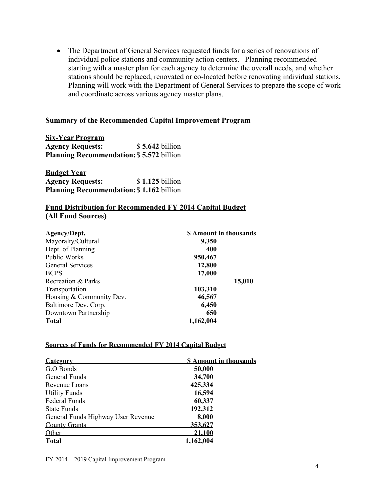The Department of General Services requested funds for a series of renovations of individual police stations and community action centers. Planning recommended starting with a master plan for each agency to determine the overall needs, and whether stations should be replaced, renovated or co-located before renovating individual stations. Planning will work with the Department of General Services to prepare the scope of work and coordinate across various agency master plans.

#### **Summary of the Recommended Capital Improvement Program**

**Six-Year Program Agency Requests:** \$ **5.642** billion **Planning Recommendation:**\$ **5.572** billion

**Budget Year Agency Requests:** \$ **1.125** billion **Planning Recommendation:**\$ **1.162** billion

#### **Fund Distribution for Recommended FY 2014 Capital Budget (All Fund Sources)**

| <b>Agency/Dept.</b>      | <b>S</b> Amount in thousands |
|--------------------------|------------------------------|
| Mayoralty/Cultural       | 9,350                        |
| Dept. of Planning        | 400                          |
| Public Works             | 950,467                      |
| <b>General Services</b>  | 12,800                       |
| <b>BCPS</b>              | 17,000                       |
| Recreation & Parks       | 15,010                       |
| Transportation           | 103,310                      |
| Housing & Community Dev. | 46,567                       |
| Baltimore Dev. Corp.     | 6,450                        |
| Downtown Partnership     | 650                          |
| <b>Total</b>             | 1,162,004                    |

#### **Sources of Funds for Recommended FY 2014 Capital Budget**

| <b>Category</b>                    | <b>\$</b> Amount in thousands |  |
|------------------------------------|-------------------------------|--|
| G.O Bonds                          | 50,000                        |  |
| General Funds                      | 34,700                        |  |
| Revenue Loans                      | 425,334                       |  |
| <b>Utility Funds</b>               | 16,594                        |  |
| <b>Federal Funds</b>               | 60,337                        |  |
| <b>State Funds</b>                 | 192,312                       |  |
| General Funds Highway User Revenue | 8,000                         |  |
| <b>County Grants</b>               | 353,627                       |  |
| Other                              | 21,100                        |  |
| <b>Total</b>                       | 1,162,004                     |  |

FY 2014 – 2019 Capital Improvement Program